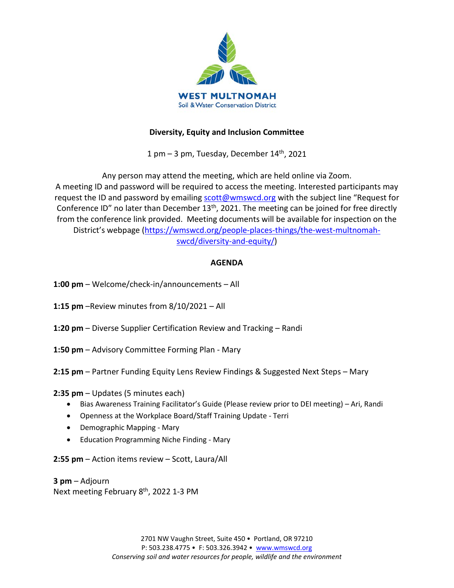

# **Diversity, Equity and Inclusion Committee**

1 pm  $-$  3 pm, Tuesday, December  $14<sup>th</sup>$ , 2021

Any person may attend the meeting, which are held online via Zoom. A meeting ID and password will be required to access the meeting. Interested participants may request the ID and password by emailing [scott@wmswcd.org](mailto:scott@wmswcd.org) with the subject line "Request for Conference ID" no later than December 13<sup>th</sup>, 2021. The meeting can be joined for free directly from the conference link provided. Meeting documents will be available for inspection on the District's webpage [\(https://wmswcd.org/people-places-things/the-west-multnomah](https://wmswcd.org/people-places-things/the-west-multnomah-swcd/diversity-and-equity/)[swcd/diversity-and-equity/\)](https://wmswcd.org/people-places-things/the-west-multnomah-swcd/diversity-and-equity/)

# **AGENDA**

- **1:00 pm**  Welcome/check-in/announcements All
- **1:15 pm** –Review minutes from 8/10/2021 All
- **1:20 pm** Diverse Supplier Certification Review and Tracking Randi
- **1:50 pm** Advisory Committee Forming Plan Mary
- **2:15 pm** Partner Funding Equity Lens Review Findings & Suggested Next Steps Mary

**2:35 pm** – Updates (5 minutes each)

- Bias Awareness Training Facilitator's Guide (Please review prior to DEI meeting) Ari, Randi
- Openness at the Workplace Board/Staff Training Update Terri
- Demographic Mapping Mary
- Education Programming Niche Finding Mary

**2:55 pm** – Action items review – Scott, Laura/All

**3 pm** – Adjourn Next meeting February 8<sup>th</sup>, 2022 1-3 PM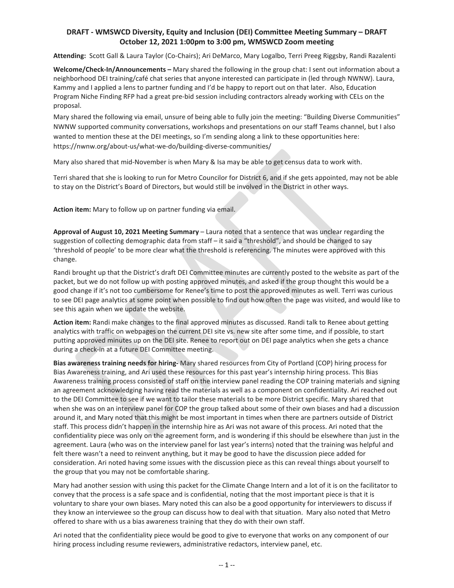## **DRAFT - WMSWCD Diversity, Equity and Inclusion (DEI) Committee Meeting Summary – DRAFT October 12, 2021 1:00pm to 3:00 pm, WMSWCD Zoom meeting**

**Attending:** Scott Gall & Laura Taylor (Co-Chairs); Ari DeMarco, Mary Logalbo, Terri Preeg Riggsby, Randi Razalenti

**Welcome/Check-In/Announcements –** Mary shared the following in the group chat: I sent out information about a neighborhood DEI training/café chat series that anyone interested can participate in (led through NWNW). Laura, Kammy and I applied a lens to partner funding and I'd be happy to report out on that later. Also, Education Program Niche Finding RFP had a great pre-bid session including contractors already working with CELs on the proposal.

Mary shared the following via email, unsure of being able to fully join the meeting: "Building Diverse Communities" NWNW supported community conversations, workshops and presentations on our staff Teams channel, but I also wanted to mention these at the DEI meetings, so I'm sending along a link to these opportunities here: [https://nwnw.org/about-us/what-we-do/building-diverse-communities/](https://nam02.safelinks.protection.outlook.com/?url=https%3A%2F%2Fnwnw.org%2Fabout-us%2Fwhat-we-do%2Fbuilding-diverse-communities%2F&data=04%7C01%7CRandi%40wmswcd.org%7C01a72261280444bbaf4c08d98da67ac5%7C2da4e6bbe2664f9d8d1ad14b1a46950b%7C0%7C0%7C637696568437524506%7CUnknown%7CTWFpbGZsb3d8eyJWIjoiMC4wLjAwMDAiLCJQIjoiV2luMzIiLCJBTiI6Ik1haWwiLCJXVCI6Mn0%3D%7C1000&sdata=5GS6nYA46H4bsdpVh8Py2TPCXeCUzIghZz3Y%2BvRHu3k%3D&reserved=0)

Mary also shared that mid-November is when Mary & Isa may be able to get census data to work with.

Terri shared that she is looking to run for Metro Councilor for District 6, and if she gets appointed, may not be able to stay on the District's Board of Directors, but would still be involved in the District in other ways.

**Action item:** Mary to follow up on partner funding via email.

**Approval of August 10, 2021 Meeting Summary** – Laura noted that a sentence that was unclear regarding the suggestion of collecting demographic data from staff – it said a "threshold", and should be changed to say 'threshold of people' to be more clear what the threshold is referencing. The minutes were approved with this change.

Randi brought up that the District's draft DEI Committee minutes are currently posted to the website as part of the packet, but we do not follow up with posting approved minutes, and asked if the group thought this would be a good change if it's not too cumbersome for Renee's time to post the approved minutes as well. Terri was curious to see DEI page analytics at some point when possible to find out how often the page was visited, and would like to see this again when we update the website.

**Action item:** Randi make changes to the final approved minutes as discussed. Randi talk to Renee about getting analytics with traffic on webpages on the current DEI site vs. new site after some time, and if possible, to start putting approved minutes up on the DEI site. Renee to report out on DEI page analytics when she gets a chance during a check-in at a future DEI Committee meeting.

**Bias awareness training needs for hiring-** Mary shared resources from City of Portland (COP) hiring process for Bias Awareness training, and Ari used these resources for this past year's internship hiring process. This Bias Awareness training process consisted of staff on the interview panel reading the COP training materials and signing an agreement acknowledging having read the materials as well as a component on confidentiality. Ari reached out to the DEI Committee to see if we want to tailor these materials to be more District specific. Mary shared that when she was on an interview panel for COP the group talked about some of their own biases and had a discussion around it, and Mary noted that this might be most important in times when there are partners outside of District staff. This process didn't happen in the internship hire as Ari was not aware of this process. Ari noted that the confidentiality piece was only on the agreement form, and is wondering if this should be elsewhere than just in the agreement. Laura (who was on the interview panel for last year's interns) noted that the training was helpful and felt there wasn't a need to reinvent anything, but it may be good to have the discussion piece added for consideration. Ari noted having some issues with the discussion piece as this can reveal things about yourself to the group that you may not be comfortable sharing.

Mary had another session with using this packet for the Climate Change Intern and a lot of it is on the facilitator to convey that the process is a safe space and is confidential, noting that the most important piece is that it is voluntary to share your own biases. Mary noted this can also be a good opportunity for interviewers to discuss if they know an interviewee so the group can discuss how to deal with that situation. Mary also noted that Metro offered to share with us a bias awareness training that they do with their own staff.

Ari noted that the confidentiality piece would be good to give to everyone that works on any component of our hiring process including resume reviewers, administrative redactors, interview panel, etc.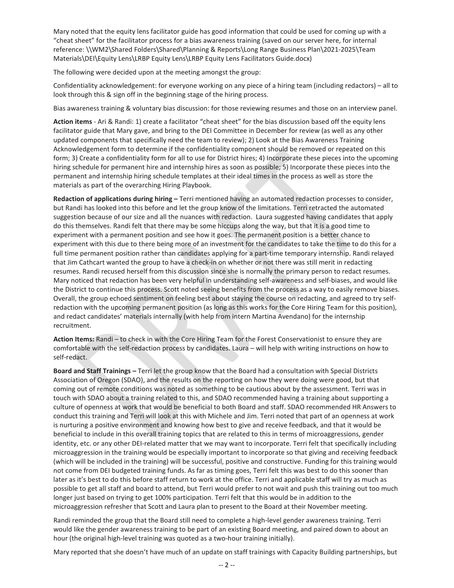Mary noted that the equity lens facilitator guide has good information that could be used for coming up with a "cheat sheet" for the facilitator process for a bias awareness training (saved on our server here, for internal reference: \\WM2\Shared Folders\Shared\Planning & Reports\Long Range Business Plan\2021-2025\Team Materials\DEI\Equity Lens\LRBP Equity Lens\LRBP Equity Lens Facilitators Guide.docx)

The following were decided upon at the meeting amongst the group:

Confidentiality acknowledgement: for everyone working on any piece of a hiring team (including redactors) – all to look through this & sign off in the beginning stage of the hiring process.

Bias awareness training & voluntary bias discussion: for those reviewing resumes and those on an interview panel.

**Action items** - Ari & Randi: 1) create a facilitator "cheat sheet" for the bias discussion based off the equity lens facilitator guide that Mary gave, and bring to the DEI Committee in December for review (as well as any other updated components that specifically need the team to review); 2) Look at the Bias Awareness Training Acknowledgement form to determine if the confidentiality component should be removed or repeated on this form; 3) Create a confidentiality form for all to use for District hires; 4) Incorporate these pieces into the upcoming hiring schedule for permanent hire and internship hires as soon as possible; 5) Incorporate these pieces into the permanent and internship hiring schedule templates at their ideal times in the process as well as store the materials as part of the overarching Hiring Playbook.

**Redaction of applications during hiring –** Terri mentioned having an automated redaction processes to consider, but Randi has looked into this before and let the group know of the limitations. Terri retracted the automated suggestion because of our size and all the nuances with redaction. Laura suggested having candidates that apply do this themselves. Randi felt that there may be some hiccups along the way, but that it is a good time to experiment with a permanent position and see how it goes. The permanent position is a better chance to experiment with this due to there being more of an investment for the candidates to take the time to do this for a full time permanent position rather than candidates applying for a part-time temporary internship. Randi relayed that Jim Cathcart wanted the group to have a check-in on whether or not there was still merit in redacting resumes. Randi recused herself from this discussion since she is normally the primary person to redact resumes. Mary noticed that redaction has been very helpful in understanding self-awareness and self-biases, and would like the District to continue this process. Scott noted seeing benefits from the process as a way to easily remove biases. Overall, the group echoed sentiment on feeling best about staying the course on redacting, and agreed to try selfredaction with the upcoming permanent position (as long as this works for the Core Hiring Team for this position), and redact candidates' materials internally (with help from intern Martina Avendano) for the internship recruitment.

**Action Items:** Randi – to check in with the Core Hiring Team for the Forest Conservationist to ensure they are comfortable with the self-redaction process by candidates. Laura – will help with writing instructions on how to self-redact.

**Board and Staff Trainings –** Terri let the group know that the Board had a consultation with Special Districts Association of Oregon (SDAO), and the results on the reporting on how they were doing were good, but that coming out of remote conditions was noted as something to be cautious about by the assessment. Terri was in touch with SDAO about a training related to this, and SDAO recommended having a training about supporting a culture of openness at work that would be beneficial to both Board and staff. SDAO recommended HR Answers to conduct this training and Terri will look at this with Michele and Jim. Terri noted that part of an openness at work is nurturing a positive environment and knowing how best to give and receive feedback, and that it would be beneficial to include in this overall training topics that are related to this in terms of microaggressions, gender identity, etc. or any other DEI-related matter that we may want to incorporate. Terri felt that specifically including microaggression in the training would be especially important to incorporate so that giving and receiving feedback (which will be included in the training) will be successful, positive and constructive. Funding for this training would not come from DEI budgeted training funds. As far as timing goes, Terri felt this was best to do this sooner than later as it's best to do this before staff return to work at the office. Terri and applicable staff will try as much as possible to get all staff and board to attend, but Terri would prefer to not wait and push this training out too much longer just based on trying to get 100% participation. Terri felt that this would be in addition to the microaggression refresher that Scott and Laura plan to present to the Board at their November meeting.

Randi reminded the group that the Board still need to complete a high-level gender awareness training. Terri would like the gender awareness training to be part of an existing Board meeting, and paired down to about an hour (the original high-level training was quoted as a two-hour training initially).

Mary reported that she doesn't have much of an update on staff trainings with Capacity Building partnerships, but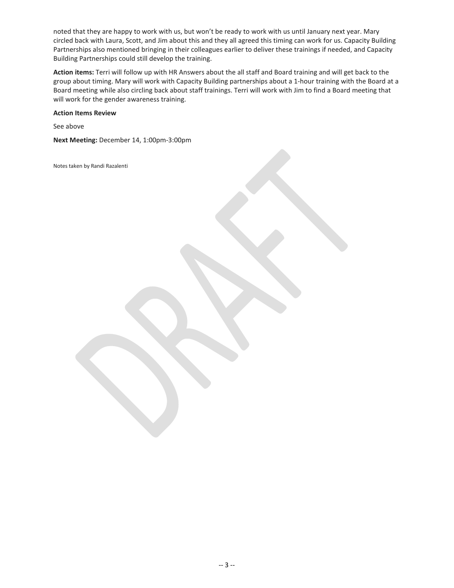noted that they are happy to work with us, but won't be ready to work with us until January next year. Mary circled back with Laura, Scott, and Jim about this and they all agreed this timing can work for us. Capacity Building Partnerships also mentioned bringing in their colleagues earlier to deliver these trainings if needed, and Capacity Building Partnerships could still develop the training.

**Action items:** Terri will follow up with HR Answers about the all staff and Board training and will get back to the group about timing. Mary will work with Capacity Building partnerships about a 1-hour training with the Board at a Board meeting while also circling back about staff trainings. Terri will work with Jim to find a Board meeting that will work for the gender awareness training.

**Action Items Review**

See above

**Next Meeting:** December 14, 1:00pm-3:00pm

Notes taken by Randi Razalenti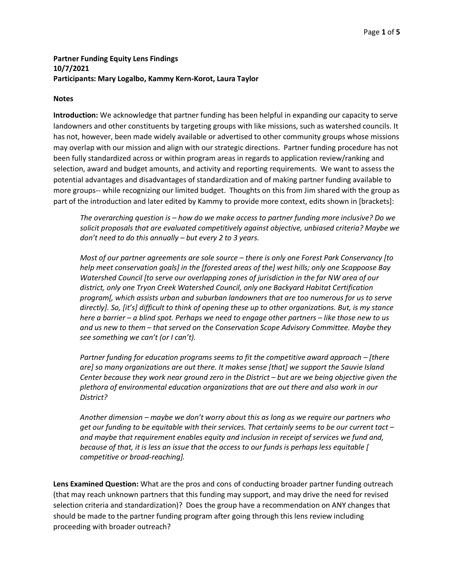## **Partner Funding Equity Lens Findings 10/7/2021 Participants: Mary Logalbo, Kammy Kern-Korot, Laura Taylor**

### **Notes**

**Introduction:** We acknowledge that partner funding has been helpful in expanding our capacity to serve landowners and other constituents by targeting groups with like missions, such as watershed councils. It has not, however, been made widely available or advertised to other community groups whose missions may overlap with our mission and align with our strategic directions. Partner funding procedure has not been fully standardized across or within program areas in regards to application review/ranking and selection, award and budget amounts, and activity and reporting requirements. We want to assess the potential advantages and disadvantages of standardization and of making partner funding available to more groups-- while recognizing our limited budget. Thoughts on this from Jim shared with the group as part of the introduction and later edited by Kammy to provide more context, edits shown in [brackets]:

*The overarching question is – how do we make access to partner funding more inclusive? Do we solicit proposals that are evaluated competitively against objective, unbiased criteria? Maybe we don't need to do this annually – but every 2 to 3 years.*

*Most of our partner agreements are sole source – there is only one Forest Park Conservancy [to help meet conservation goals] in the [forested areas of the] west hills; only one Scappoose Bay Watershed Council [to serve our overlapping zones of jurisdiction in the far NW area of our district, only one Tryon Creek Watershed Council, only one Backyard Habitat Certification program[, which assists urban and suburban landowners that are too numerous for us to serve directly]. So, [it's] difficult to think of opening these up to other organizations. But, is my stance here a barrier – a blind spot. Perhaps we need to engage other partners – like those new to us and us new to them – that served on the Conservation Scope Advisory Committee. Maybe they see something we can't (or I can't).*

*Partner funding for education programs seems to fit the competitive award approach – [there are] so many organizations are out there. It makes sense [that] we support the Sauvie Island Center because they work near ground zero in the District – but are we being objective given the plethora of environmental education organizations that are out there and also work in our District?*

*Another dimension – maybe we don't worry about this as long as we require our partners who get our funding to be equitable with their services. That certainly seems to be our current tact – and maybe that requirement enables equity and inclusion in receipt of services we fund and, because of that, it is less an issue that the access to our funds is perhaps less equitable [ competitive or broad-reaching].*

**Lens Examined Question:** What are the pros and cons of conducting broader partner funding outreach (that may reach unknown partners that this funding may support, and may drive the need for revised selection criteria and standardization)? Does the group have a recommendation on ANY changes that should be made to the partner funding program after going through this lens review including proceeding with broader outreach?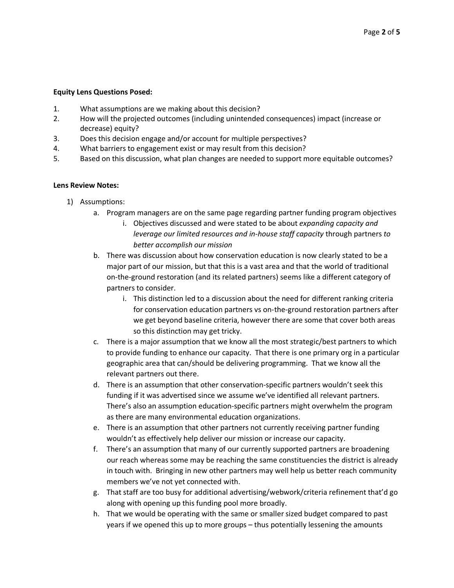### **Equity Lens Questions Posed:**

- 1. What assumptions are we making about this decision?
- 2. How will the projected outcomes (including unintended consequences) impact (increase or decrease) equity?
- 3. Does this decision engage and/or account for multiple perspectives?
- 4. What barriers to engagement exist or may result from this decision?
- 5. Based on this discussion, what plan changes are needed to support more equitable outcomes?

### **Lens Review Notes:**

- 1) Assumptions:
	- a. Program managers are on the same page regarding partner funding program objectives
		- i. Objectives discussed and were stated to be about *expanding capacity and leverage our limited resources and in-house staff capacity* through partners *to better accomplish our mission*
	- b. There was discussion about how conservation education is now clearly stated to be a major part of our mission, but that this is a vast area and that the world of traditional on-the-ground restoration (and its related partners) seems like a different category of partners to consider.
		- i. This distinction led to a discussion about the need for different ranking criteria for conservation education partners vs on-the-ground restoration partners after we get beyond baseline criteria, however there are some that cover both areas so this distinction may get tricky.
	- c. There is a major assumption that we know all the most strategic/best partners to which to provide funding to enhance our capacity. That there is one primary org in a particular geographic area that can/should be delivering programming. That we know all the relevant partners out there.
	- d. There is an assumption that other conservation-specific partners wouldn't seek this funding if it was advertised since we assume we've identified all relevant partners. There's also an assumption education-specific partners might overwhelm the program as there are many environmental education organizations.
	- e. There is an assumption that other partners not currently receiving partner funding wouldn't as effectively help deliver our mission or increase our capacity.
	- f. There's an assumption that many of our currently supported partners are broadening our reach whereas some may be reaching the same constituencies the district is already in touch with. Bringing in new other partners may well help us better reach community members we've not yet connected with.
	- g. That staff are too busy for additional advertising/webwork/criteria refinement that'd go along with opening up this funding pool more broadly.
	- h. That we would be operating with the same or smaller sized budget compared to past years if we opened this up to more groups – thus potentially lessening the amounts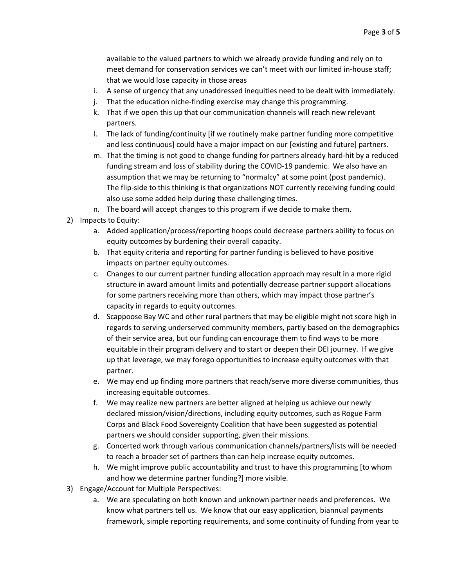available to the valued partners to which we already provide funding and rely on to meet demand for conservation services we can't meet with our limited in-house staff; that we would lose capacity in those areas

- i. A sense of urgency that any unaddressed inequities need to be dealt with immediately.
- j. That the education niche-finding exercise may change this programming.
- k. That if we open this up that our communication channels will reach new relevant partners.
- l. The lack of funding/continuity [if we routinely make partner funding more competitive and less continuous] could have a major impact on our [existing and future] partners.
- m. That the timing is not good to change funding for partners already hard-hit by a reduced funding stream and loss of stability during the COVID-19 pandemic. We also have an assumption that we may be returning to "normalcy" at some point (post pandemic). The flip-side to this thinking is that organizations NOT currently receiving funding could also use some added help during these challenging times.
- n. The board will accept changes to this program if we decide to make them.
- 2) Impacts to Equity:
	- a. Added application/process/reporting hoops could decrease partners ability to focus on equity outcomes by burdening their overall capacity.
	- b. That equity criteria and reporting for partner funding is believed to have positive impacts on partner equity outcomes.
	- c. Changes to our current partner funding allocation approach may result in a more rigid structure in award amount limits and potentially decrease partner support allocations for some partners receiving more than others, which may impact those partner's capacity in regards to equity outcomes.
	- d. Scappoose Bay WC and other rural partners that may be eligible might not score high in regards to serving underserved community members, partly based on the demographics of their service area, but our funding can encourage them to find ways to be more equitable in their program delivery and to start or deepen their DEI journey. If we give up that leverage, we may forego opportunities to increase equity outcomes with that partner.
	- e. We may end up finding more partners that reach/serve more diverse communities, thus increasing equitable outcomes.
	- f. We may realize new partners are better aligned at helping us achieve our newly declared mission/vision/directions, including equity outcomes, such as Rogue Farm Corps and Black Food Sovereignty Coalition that have been suggested as potential partners we should consider supporting, given their missions.
	- g. Concerted work through various communication channels/partners/lists will be needed to reach a broader set of partners than can help increase equity outcomes.
	- h. We might improve public accountability and trust to have this programming [to whom and how we determine partner funding?] more visible.
- 3) Engage/Account for Multiple Perspectives:
	- a. We are speculating on both known and unknown partner needs and preferences. We know what partners tell us. We know that our easy application, biannual payments framework, simple reporting requirements, and some continuity of funding from year to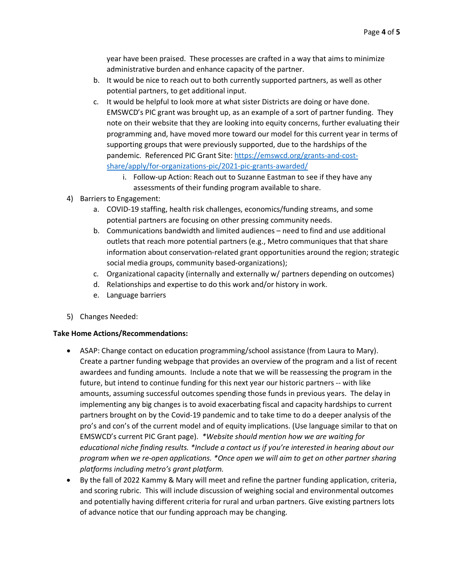year have been praised. These processes are crafted in a way that aims to minimize administrative burden and enhance capacity of the partner.

- b. It would be nice to reach out to both currently supported partners, as well as other potential partners, to get additional input.
- c. It would be helpful to look more at what sister Districts are doing or have done. EMSWCD's PIC grant was brought up, as an example of a sort of partner funding. They note on their website that they are looking into equity concerns, further evaluating their programming and, have moved more toward our model for this current year in terms of supporting groups that were previously supported, due to the hardships of the pandemic. Referenced PIC Grant Site: [https://emswcd.org/grants-and-cost](https://emswcd.org/grants-and-cost-share/apply/for-organizations-pic/2021-pic-grants-awarded/)[share/apply/for-organizations-pic/2021-pic-grants-awarded/](https://emswcd.org/grants-and-cost-share/apply/for-organizations-pic/2021-pic-grants-awarded/)
	- i. Follow-up Action: Reach out to Suzanne Eastman to see if they have any assessments of their funding program available to share.
- 4) Barriers to Engagement:
	- a. COVID-19 staffing, health risk challenges, economics/funding streams, and some potential partners are focusing on other pressing community needs.
	- b. Communications bandwidth and limited audiences need to find and use additional outlets that reach more potential partners (e.g., Metro communiques that that share information about conservation-related grant opportunities around the region; strategic social media groups, community based-organizations);
	- c. Organizational capacity (internally and externally w/ partners depending on outcomes)
	- d. Relationships and expertise to do this work and/or history in work.
	- e. Language barriers
- 5) Changes Needed:

### **Take Home Actions/Recommendations:**

- ASAP: Change contact on education programming/school assistance (from Laura to Mary). Create a partner funding webpage that provides an overview of the program and a list of recent awardees and funding amounts. Include a note that we will be reassessing the program in the future, but intend to continue funding for this next year our historic partners -- with like amounts, assuming successful outcomes spending those funds in previous years. The delay in implementing any big changes is to avoid exacerbating fiscal and capacity hardships to current partners brought on by the Covid-19 pandemic and to take time to do a deeper analysis of the pro's and con's of the current model and of equity implications. (Use language similar to that on EMSWCD's current PIC Grant page). *\*Website should mention how we are waiting for educational niche finding results. \*Include a contact us if you're interested in hearing about our program when we re-open applications. \*Once open we will aim to get on other partner sharing platforms including metro's grant platform.*
- By the fall of 2022 Kammy & Mary will meet and refine the partner funding application, criteria, and scoring rubric. This will include discussion of weighing social and environmental outcomes and potentially having different criteria for rural and urban partners. Give existing partners lots of advance notice that our funding approach may be changing.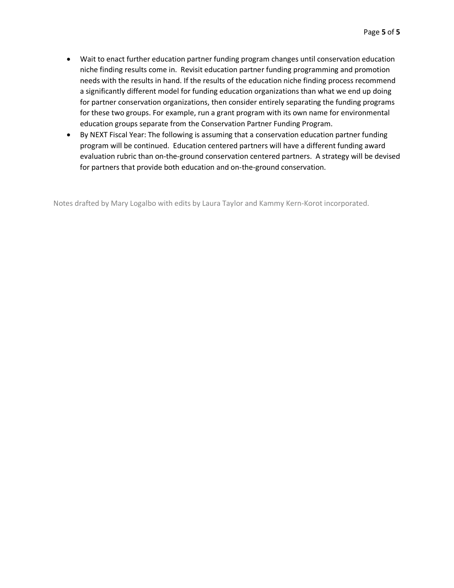- Wait to enact further education partner funding program changes until conservation education niche finding results come in. Revisit education partner funding programming and promotion needs with the results in hand. If the results of the education niche finding process recommend a significantly different model for funding education organizations than what we end up doing for partner conservation organizations, then consider entirely separating the funding programs for these two groups. For example, run a grant program with its own name for environmental education groups separate from the Conservation Partner Funding Program.
- By NEXT Fiscal Year: The following is assuming that a conservation education partner funding program will be continued. Education centered partners will have a different funding award evaluation rubric than on-the-ground conservation centered partners. A strategy will be devised for partners that provide both education and on-the-ground conservation.

Notes drafted by Mary Logalbo with edits by Laura Taylor and Kammy Kern-Korot incorporated.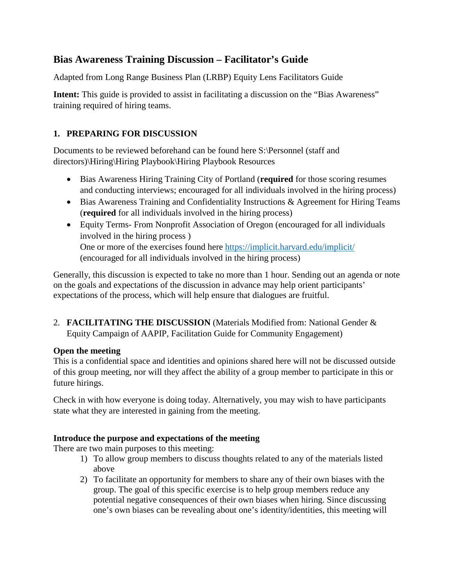# **Bias Awareness Training Discussion – Facilitator's Guide**

Adapted from Long Range Business Plan (LRBP) Equity Lens Facilitators Guide

**Intent:** This guide is provided to assist in facilitating a discussion on the "Bias Awareness" training required of hiring teams.

# **1. PREPARING FOR DISCUSSION**

Documents to be reviewed beforehand can be found here S:\Personnel (staff and directors)\Hiring\Hiring Playbook\Hiring Playbook Resources

- Bias Awareness Hiring Training City of Portland (**required** for those scoring resumes and conducting interviews; encouraged for all individuals involved in the hiring process)
- Bias Awareness Training and Confidentiality Instructions & Agreement for Hiring Teams (**required** for all individuals involved in the hiring process)
- Equity Terms- From Nonprofit Association of Oregon (encouraged for all individuals involved in the hiring process ) One or more of the exercises found here<https://implicit.harvard.edu/implicit/> (encouraged for all individuals involved in the hiring process)

Generally, this discussion is expected to take no more than 1 hour. Sending out an agenda or note on the goals and expectations of the discussion in advance may help orient participants' expectations of the process, which will help ensure that dialogues are fruitful.

2. **FACILITATING THE DISCUSSION** (Materials Modified from: National Gender & Equity Campaign of AAPIP, Facilitation Guide for Community Engagement)

# **Open the meeting**

This is a confidential space and identities and opinions shared here will not be discussed outside of this group meeting, nor will they affect the ability of a group member to participate in this or future hirings.

Check in with how everyone is doing today. Alternatively, you may wish to have participants state what they are interested in gaining from the meeting.

# **Introduce the purpose and expectations of the meeting**

There are two main purposes to this meeting:

- 1) To allow group members to discuss thoughts related to any of the materials listed above
- 2) To facilitate an opportunity for members to share any of their own biases with the group. The goal of this specific exercise is to help group members reduce any potential negative consequences of their own biases when hiring. Since discussing one's own biases can be revealing about one's identity/identities, this meeting will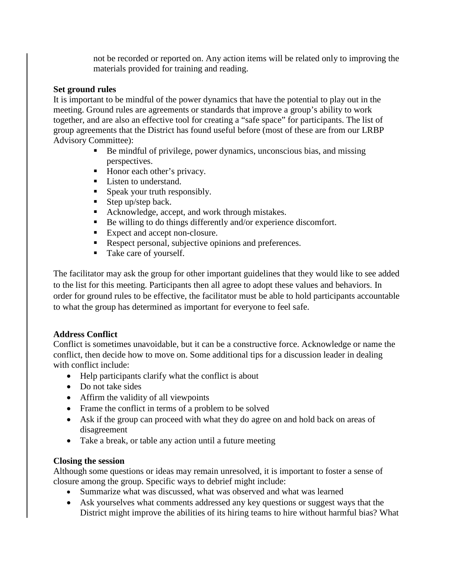not be recorded or reported on. Any action items will be related only to improving the materials provided for training and reading.

## **Set ground rules**

It is important to be mindful of the power dynamics that have the potential to play out in the meeting. Ground rules are agreements or standards that improve a group's ability to work together, and are also an effective tool for creating a "safe space" for participants. The list of group agreements that the District has found useful before (most of these are from our LRBP Advisory Committee):

- Be mindful of privilege, power dynamics, unconscious bias, and missing perspectives.
- Honor each other's privacy.
- **Listen to understand.**
- **Speak your truth responsibly.**
- Step up/step back.
- Acknowledge, accept, and work through mistakes.
- Be willing to do things differently and/or experience discomfort.
- Expect and accept non-closure.
- Respect personal, subjective opinions and preferences.
- Take care of yourself.

The facilitator may ask the group for other important guidelines that they would like to see added to the list for this meeting. Participants then all agree to adopt these values and behaviors. In order for ground rules to be effective, the facilitator must be able to hold participants accountable to what the group has determined as important for everyone to feel safe.

## **Address Conflict**

Conflict is sometimes unavoidable, but it can be a constructive force. Acknowledge or name the conflict, then decide how to move on. Some additional tips for a discussion leader in dealing with conflict include:

- Help participants clarify what the conflict is about
- Do not take sides
- Affirm the validity of all viewpoints
- Frame the conflict in terms of a problem to be solved
- Ask if the group can proceed with what they do agree on and hold back on areas of disagreement
- Take a break, or table any action until a future meeting

## **Closing the session**

Although some questions or ideas may remain unresolved, it is important to foster a sense of closure among the group. Specific ways to debrief might include:

- Summarize what was discussed, what was observed and what was learned
- Ask yourselves what comments addressed any key questions or suggest ways that the District might improve the abilities of its hiring teams to hire without harmful bias? What